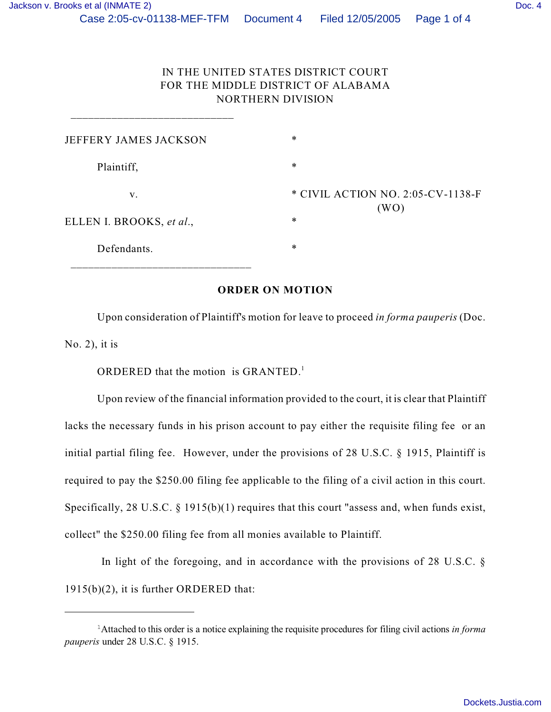## IN THE UNITED STATES DISTRICT COURT FOR THE MIDDLE DISTRICT OF ALABAMA NORTHERN DIVISION

| JEFFERY JAMES JACKSON    | $\ast$                                    |
|--------------------------|-------------------------------------------|
| Plaintiff,               | $\ast$                                    |
| V.                       | * CIVIL ACTION NO. 2:05-CV-1138-F<br>(WO) |
| ELLEN I. BROOKS, et al., | $\ast$                                    |
| Defendants.              | $\ast$                                    |

## **ORDER ON MOTION**

Upon consideration of Plaintiff's motion for leave to proceed *in forma pauperis* (Doc. No. 2), it is

ORDERED that the motion is GRANTED. $<sup>1</sup>$ </sup>

\_\_\_\_\_\_\_\_\_\_\_\_\_\_\_\_\_\_\_\_\_\_\_\_\_\_\_\_

Upon review of the financial information provided to the court, it is clear that Plaintiff lacks the necessary funds in his prison account to pay either the requisite filing fee or an initial partial filing fee. However, under the provisions of 28 U.S.C. § 1915, Plaintiff is required to pay the \$250.00 filing fee applicable to the filing of a civil action in this court. Specifically, 28 U.S.C. § 1915(b)(1) requires that this court "assess and, when funds exist, collect" the \$250.00 filing fee from all monies available to Plaintiff.

In light of the foregoing, and in accordance with the provisions of 28 U.S.C.  $\S$ 1915(b)(2), it is further ORDERED that:

Attached to this order is a notice explaining the requisite procedures for filing civil actions *in forma* <sup>1</sup> *pauperis* under 28 U.S.C. § 1915.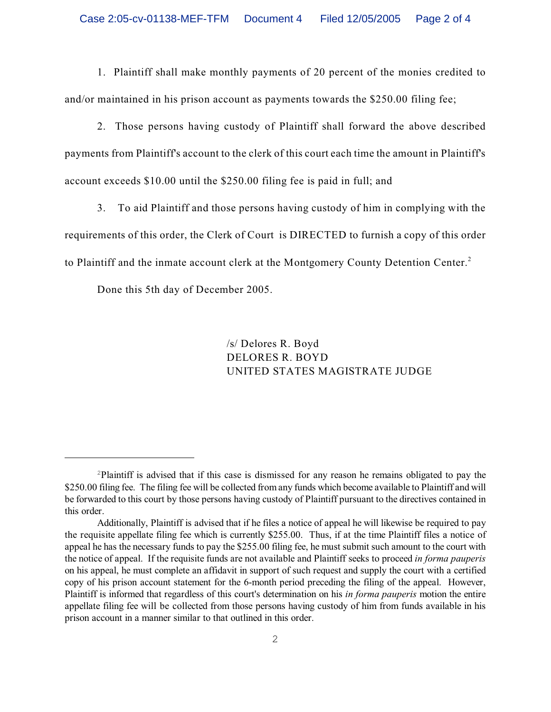1. Plaintiff shall make monthly payments of 20 percent of the monies credited to and/or maintained in his prison account as payments towards the \$250.00 filing fee;

2. Those persons having custody of Plaintiff shall forward the above described payments from Plaintiff's account to the clerk of this court each time the amount in Plaintiff's account exceeds \$10.00 until the \$250.00 filing fee is paid in full; and

3. To aid Plaintiff and those persons having custody of him in complying with the requirements of this order, the Clerk of Court is DIRECTED to furnish a copy of this order to Plaintiff and the inmate account clerk at the Montgomery County Detention Center.<sup>2</sup>

Done this 5th day of December 2005.

/s/ Delores R. Boyd DELORES R. BOYD UNITED STATES MAGISTRATE JUDGE

<sup>&</sup>lt;sup>2</sup>Plaintiff is advised that if this case is dismissed for any reason he remains obligated to pay the \$250.00 filing fee. The filing fee will be collected from any funds which become available to Plaintiff and will be forwarded to this court by those persons having custody of Plaintiff pursuant to the directives contained in this order.

Additionally, Plaintiff is advised that if he files a notice of appeal he will likewise be required to pay the requisite appellate filing fee which is currently \$255.00. Thus, if at the time Plaintiff files a notice of appeal he has the necessary funds to pay the \$255.00 filing fee, he must submit such amount to the court with the notice of appeal. If the requisite funds are not available and Plaintiff seeks to proceed *in forma pauperis* on his appeal, he must complete an affidavit in support of such request and supply the court with a certified copy of his prison account statement for the 6-month period preceding the filing of the appeal. However, Plaintiff is informed that regardless of this court's determination on his *in forma pauperis* motion the entire appellate filing fee will be collected from those persons having custody of him from funds available in his prison account in a manner similar to that outlined in this order.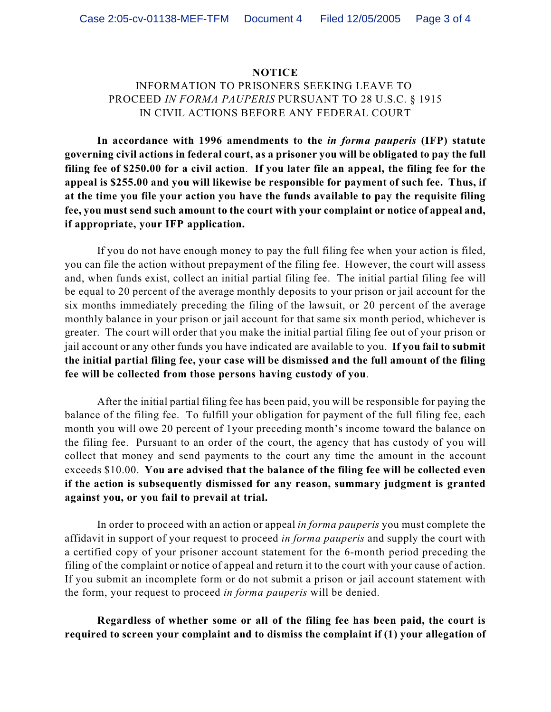## **NOTICE**

## INFORMATION TO PRISONERS SEEKING LEAVE TO PROCEED *IN FORMA PAUPERIS* PURSUANT TO 28 U.S.C. § 1915 IN CIVIL ACTIONS BEFORE ANY FEDERAL COURT

**In accordance with 1996 amendments to the** *in forma pauperis* **(IFP) statute governing civil actions in federal court, as a prisoner you will be obligated to pay the full filing fee of \$250.00 for a civil action**. **If you later file an appeal, the filing fee for the appeal is \$255.00 and you will likewise be responsible for payment of such fee. Thus, if at the time you file your action you have the funds available to pay the requisite filing fee, you must send such amount to the court with your complaint or notice of appeal and, if appropriate, your IFP application.** 

If you do not have enough money to pay the full filing fee when your action is filed, you can file the action without prepayment of the filing fee. However, the court will assess and, when funds exist, collect an initial partial filing fee. The initial partial filing fee will be equal to 20 percent of the average monthly deposits to your prison or jail account for the six months immediately preceding the filing of the lawsuit, or 20 percent of the average monthly balance in your prison or jail account for that same six month period, whichever is greater. The court will order that you make the initial partial filing fee out of your prison or jail account or any other funds you have indicated are available to you. **If you fail to submit the initial partial filing fee, your case will be dismissed and the full amount of the filing fee will be collected from those persons having custody of you**.

After the initial partial filing fee has been paid, you will be responsible for paying the balance of the filing fee. To fulfill your obligation for payment of the full filing fee, each month you will owe 20 percent of 1your preceding month's income toward the balance on the filing fee. Pursuant to an order of the court, the agency that has custody of you will collect that money and send payments to the court any time the amount in the account exceeds \$10.00. **You are advised that the balance of the filing fee will be collected even if the action is subsequently dismissed for any reason, summary judgment is granted against you, or you fail to prevail at trial.** 

In order to proceed with an action or appeal *in forma pauperis* you must complete the affidavit in support of your request to proceed *in forma pauperis* and supply the court with a certified copy of your prisoner account statement for the 6-month period preceding the filing of the complaint or notice of appeal and return it to the court with your cause of action. If you submit an incomplete form or do not submit a prison or jail account statement with the form, your request to proceed *in forma pauperis* will be denied.

**Regardless of whether some or all of the filing fee has been paid, the court is required to screen your complaint and to dismiss the complaint if (1) your allegation of**